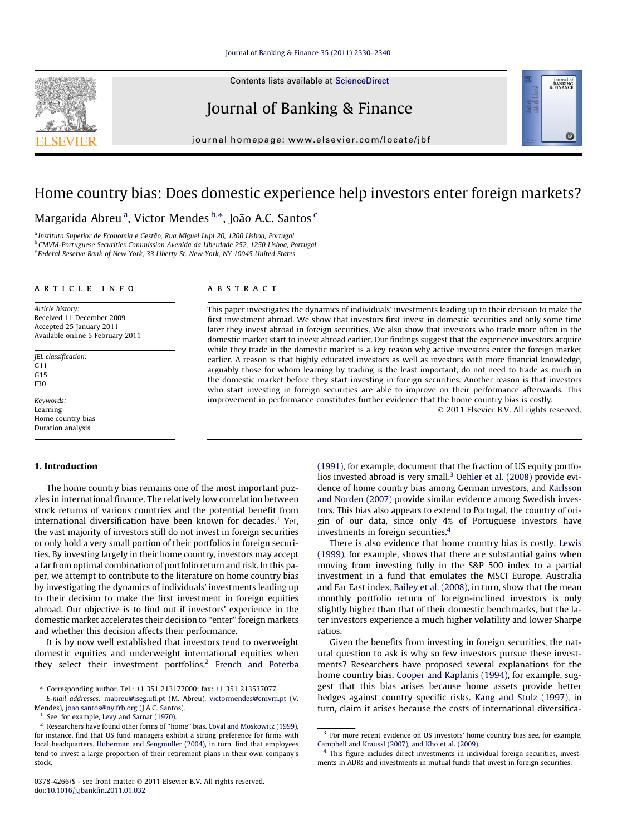Contents lists available at [ScienceDirect](http://www.sciencedirect.com/science/journal/03784266)

### Journal of Banking & Finance

journal homepage: [www.elsevier.com/locate/jbf](http://www.elsevier.com/locate/jbf)

## Home country bias: Does domestic experience help investors enter foreign markets?

Margarida Abreuª, Victor Mendes <sup>b,</sup>\*, João A.C. Santos <sup>c</sup>

<sup>a</sup> Instituto Superior de Economia e Gestão, Rua Miguel Lupi 20, 1200 Lisboa, Portugal <sup>b</sup> CMVM-Portuguese Securities Commission Avenida da Liberdade 252, 1250 Lisboa, Portugal <sup>c</sup> Federal Reserve Bank of New York, 33 Liberty St. New York, NY 10045 United States

article info

Article history: Received 11 December 2009 Accepted 25 January 2011 Available online 5 February 2011

JEL classification: G11 G15 F30

Keywords: Learning Home country bias Duration analysis

#### 1. Introduction

The home country bias remains one of the most important puzzles in international finance. The relatively low correlation between stock returns of various countries and the potential benefit from international diversification have been known for decades.<sup>1</sup> Yet, the vast majority of investors still do not invest in foreign securities or only hold a very small portion of their portfolios in foreign securities. By investing largely in their home country, investors may accept a far from optimal combination of portfolio return and risk. In this paper, we attempt to contribute to the literature on home country bias by investigating the dynamics of individuals' investments leading up to their decision to make the first investment in foreign equities abroad. Our objective is to find out if investors' experience in the domestic market accelerates their decision to ''enter'' foreign markets and whether this decision affects their performance.

It is by now well established that investors tend to overweight domestic equities and underweight international equities when they select their investment portfolios.<sup>2</sup> [French and Poterba](#page--1-0)

#### ABSTRACT

This paper investigates the dynamics of individuals' investments leading up to their decision to make the first investment abroad. We show that investors first invest in domestic securities and only some time later they invest abroad in foreign securities. We also show that investors who trade more often in the domestic market start to invest abroad earlier. Our findings suggest that the experience investors acquire while they trade in the domestic market is a key reason why active investors enter the foreign market earlier. A reason is that highly educated investors as well as investors with more financial knowledge, arguably those for whom learning by trading is the least important, do not need to trade as much in the domestic market before they start investing in foreign securities. Another reason is that investors who start investing in foreign securities are able to improve on their performance afterwards. This improvement in performance constitutes further evidence that the home country bias is costly.

- 2011 Elsevier B.V. All rights reserved.

Journal of<br>BANKING<br>& FINANCE

60

[\(1991\)](#page--1-0), for example, document that the fraction of US equity portfo-lios invested abroad is very small.<sup>3</sup> [Oehler et al. \(2008\)](#page--1-0) provide evidence of home country bias among German investors, and [Karlsson](#page--1-0) [and Norden \(2007\)](#page--1-0) provide similar evidence among Swedish investors. This bias also appears to extend to Portugal, the country of origin of our data, since only 4% of Portuguese investors have investments in foreign securities.4

There is also evidence that home country bias is costly. [Lewis](#page--1-0) [\(1999\),](#page--1-0) for example, shows that there are substantial gains when moving from investing fully in the S&P 500 index to a partial investment in a fund that emulates the MSCI Europe, Australia and Far East index. [Bailey et al. \(2008\)](#page--1-0), in turn, show that the mean monthly portfolio return of foreign-inclined investors is only slightly higher than that of their domestic benchmarks, but the later investors experience a much higher volatility and lower Sharpe ratios.

Given the benefits from investing in foreign securities, the natural question to ask is why so few investors pursue these investments? Researchers have proposed several explanations for the home country bias. [Cooper and Kaplanis \(1994\)](#page--1-0), for example, suggest that this bias arises because home assets provide better hedges against country specific risks. [Kang and Stulz \(1997\),](#page--1-0) in turn, claim it arises because the costs of international diversifica-



<sup>⇑</sup> Corresponding author. Tel.: +1 351 213177000; fax: +1 351 213537077.

E-mail addresses: [mabreu@iseg.utl.pt](mailto:mabreu@iseg.utl.pt) (M. Abreu), [victormendes@cmvm.pt](mailto:victormendes@cmvm.pt) (V. Mendes), [joao.santos@ny.frb.org](mailto:joao.santos@ny.frb.org) (J.A.C. Santos).

See, for example, [Levy and Sarnat \(1970\).](#page--1-0)

<sup>2</sup> Researchers have found other forms of ''home'' bias. [Coval and Moskowitz \(1999\)](#page--1-0), for instance, find that US fund managers exhibit a strong preference for firms with local headquarters. [Huberman and Sengmuller \(2004\),](#page--1-0) in turn, find that employees tend to invest a large proportion of their retirement plans in their own company's stock.

<sup>&</sup>lt;sup>3</sup> For more recent evidence on US investors' home country bias see, for example, [Campbell and Kra](#page--1-0)'[ussl \(2007\), and Kho et al. \(2009\)](#page--1-0).

<sup>&</sup>lt;sup>4</sup> This figure includes direct investments in individual foreign securities, investments in ADRs and investments in mutual funds that invest in foreign securities.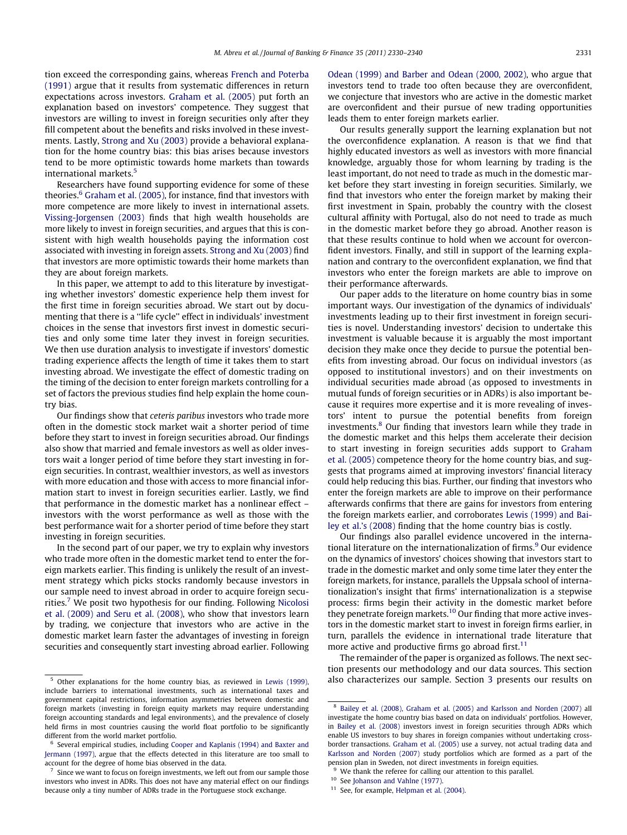tion exceed the corresponding gains, whereas [French and Poterba](#page--1-0) [\(1991\)](#page--1-0) argue that it results from systematic differences in return expectations across investors. [Graham et al. \(2005\)](#page--1-0) put forth an explanation based on investors' competence. They suggest that investors are willing to invest in foreign securities only after they fill competent about the benefits and risks involved in these investments. Lastly, [Strong and Xu \(2003\)](#page--1-0) provide a behavioral explanation for the home country bias: this bias arises because investors tend to be more optimistic towards home markets than towards international markets.5

Researchers have found supporting evidence for some of these theories.<sup>6</sup> [Graham et al. \(2005\)](#page--1-0), for instance, find that investors with more competence are more likely to invest in international assets. [Vissing-Jorgensen \(2003\)](#page--1-0) finds that high wealth households are more likely to invest in foreign securities, and argues that this is consistent with high wealth households paying the information cost associated with investing in foreign assets. [Strong and Xu \(2003\)](#page--1-0) find that investors are more optimistic towards their home markets than they are about foreign markets.

In this paper, we attempt to add to this literature by investigating whether investors' domestic experience help them invest for the first time in foreign securities abroad. We start out by documenting that there is a ''life cycle'' effect in individuals' investment choices in the sense that investors first invest in domestic securities and only some time later they invest in foreign securities. We then use duration analysis to investigate if investors' domestic trading experience affects the length of time it takes them to start investing abroad. We investigate the effect of domestic trading on the timing of the decision to enter foreign markets controlling for a set of factors the previous studies find help explain the home country bias.

Our findings show that ceteris paribus investors who trade more often in the domestic stock market wait a shorter period of time before they start to invest in foreign securities abroad. Our findings also show that married and female investors as well as older investors wait a longer period of time before they start investing in foreign securities. In contrast, wealthier investors, as well as investors with more education and those with access to more financial information start to invest in foreign securities earlier. Lastly, we find that performance in the domestic market has a nonlinear effect – investors with the worst performance as well as those with the best performance wait for a shorter period of time before they start investing in foreign securities.

In the second part of our paper, we try to explain why investors who trade more often in the domestic market tend to enter the foreign markets earlier. This finding is unlikely the result of an investment strategy which picks stocks randomly because investors in our sample need to invest abroad in order to acquire foreign secu-rities.<sup>7</sup> We posit two hypothesis for our finding. Following [Nicolosi](#page--1-0) [et al. \(2009\) and Seru et al. \(2008\),](#page--1-0) who show that investors learn by trading, we conjecture that investors who are active in the domestic market learn faster the advantages of investing in foreign securities and consequently start investing abroad earlier. Following [Odean \(1999\) and Barber and Odean \(2000, 2002\)](#page--1-0), who argue that investors tend to trade too often because they are overconfident, we conjecture that investors who are active in the domestic market are overconfident and their pursue of new trading opportunities leads them to enter foreign markets earlier.

Our results generally support the learning explanation but not the overconfidence explanation. A reason is that we find that highly educated investors as well as investors with more financial knowledge, arguably those for whom learning by trading is the least important, do not need to trade as much in the domestic market before they start investing in foreign securities. Similarly, we find that investors who enter the foreign market by making their first investment in Spain, probably the country with the closest cultural affinity with Portugal, also do not need to trade as much in the domestic market before they go abroad. Another reason is that these results continue to hold when we account for overconfident investors. Finally, and still in support of the learning explanation and contrary to the overconfident explanation, we find that investors who enter the foreign markets are able to improve on their performance afterwards.

Our paper adds to the literature on home country bias in some important ways. Our investigation of the dynamics of individuals' investments leading up to their first investment in foreign securities is novel. Understanding investors' decision to undertake this investment is valuable because it is arguably the most important decision they make once they decide to pursue the potential benefits from investing abroad. Our focus on individual investors (as opposed to institutional investors) and on their investments on individual securities made abroad (as opposed to investments in mutual funds of foreign securities or in ADRs) is also important because it requires more expertise and it is more revealing of investors' intent to pursue the potential benefits from foreign investments.<sup>8</sup> Our finding that investors learn while they trade in the domestic market and this helps them accelerate their decision to start investing in foreign securities adds support to [Graham](#page--1-0) [et al. \(2005\)](#page--1-0) competence theory for the home country bias, and suggests that programs aimed at improving investors' financial literacy could help reducing this bias. Further, our finding that investors who enter the foreign markets are able to improve on their performance afterwards confirms that there are gains for investors from entering the foreign markets earlier, and corroborates [Lewis \(1999\) and Bai](#page--1-0)[ley et al.'s \(2008\)](#page--1-0) finding that the home country bias is costly.

Our findings also parallel evidence uncovered in the international literature on the internationalization of firms.<sup>9</sup> Our evidence on the dynamics of investors' choices showing that investors start to trade in the domestic market and only some time later they enter the foreign markets, for instance, parallels the Uppsala school of internationalization's insight that firms' internationalization is a stepwise process: firms begin their activity in the domestic market before they penetrate foreign markets.<sup>10</sup> Our finding that more active investors in the domestic market start to invest in foreign firms earlier, in turn, parallels the evidence in international trade literature that more active and productive firms go abroad first. $11$ 

The remainder of the paper is organized as follows. The next section presents our methodology and our data sources. This section  $\frac{1}{5}$  Other explanations for the home country bias, as reviewed in [Lewis \(1999\)](#page--1-0), also characterizes our sample. Section [3](#page--1-0) presents our results on

include barriers to international investments, such as international taxes and government capital restrictions, information asymmetries between domestic and foreign markets (investing in foreign equity markets may require understanding foreign accounting standards and legal environments), and the prevalence of closely held firms in most countries causing the world float portfolio to be significantly different from the world market portfolio.

<sup>6</sup> Several empirical studies, including [Cooper and Kaplanis \(1994\) and Baxter and](#page--1-0) [Jermann \(1997\),](#page--1-0) argue that the effects detected in this literature are too small to account for the degree of home bias observed in the data.

Since we want to focus on foreign investments, we left out from our sample those investors who invest in ADRs. This does not have any material effect on our findings because only a tiny number of ADRs trade in the Portuguese stock exchange.

<sup>8</sup> [Bailey et al. \(2008\), Graham et al. \(2005\) and Karlsson and Norden \(2007\)](#page--1-0) all investigate the home country bias based on data on individuals' portfolios. However, in [Bailey et al. \(2008\)](#page--1-0) investors invest in foreign securities through ADRs which enable US investors to buy shares in foreign companies without undertaking crossborder transactions. [Graham et al. \(2005\)](#page--1-0) use a survey, not actual trading data and [Karlsson and Norden \(2007\)](#page--1-0) study portfolios which are formed as a part of the pension plan in Sweden, not direct investments in foreign equities.

We thank the referee for calling our attention to this parallel.

<sup>&</sup>lt;sup>10</sup> See [Johanson and Vahlne \(1977\).](#page--1-0)

<sup>&</sup>lt;sup>11</sup> See, for example, [Helpman et al. \(2004\)](#page--1-0).